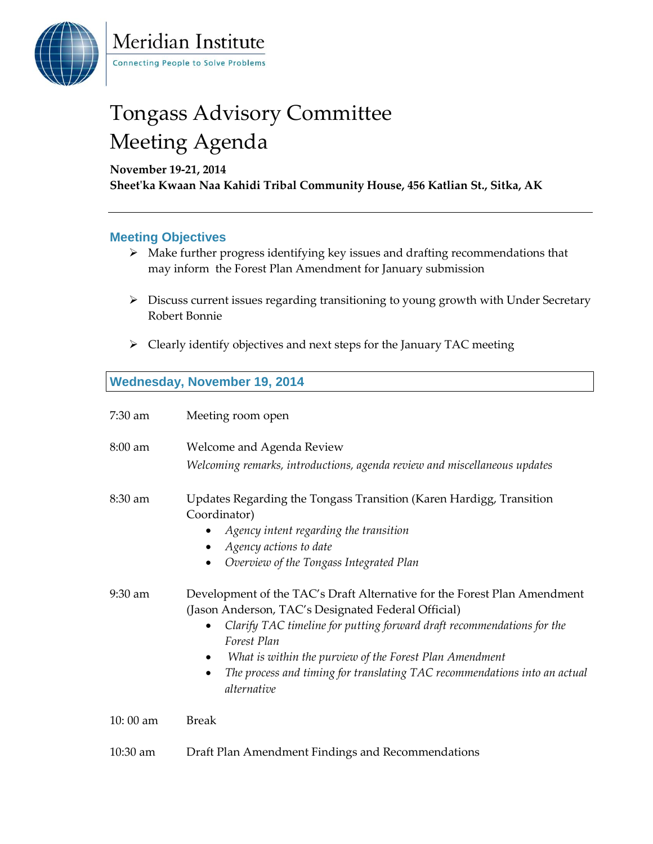

Meridian Institute **Connecting People to Solve Problems** 

# Tongass Advisory Committee Meeting Agenda

**November 19-21, 2014** 

**Sheet'ka Kwaan Naa Kahidi Tribal Community House, 456 Katlian St., Sitka, AK**

### **Meeting Objectives**

- $\triangleright$  Make further progress identifying key issues and drafting recommendations that may inform the Forest Plan Amendment for January submission
- Discuss current issues regarding transitioning to young growth with Under Secretary Robert Bonnie
- $\triangleright$  Clearly identify objectives and next steps for the January TAC meeting

### **Wednesday, November 19, 2014**

| 7:30 am           | Meeting room open                                                                                                                                                                                                                                                                                                                                                               |
|-------------------|---------------------------------------------------------------------------------------------------------------------------------------------------------------------------------------------------------------------------------------------------------------------------------------------------------------------------------------------------------------------------------|
| $8:00 \text{ am}$ | Welcome and Agenda Review<br>Welcoming remarks, introductions, agenda review and miscellaneous updates                                                                                                                                                                                                                                                                          |
| $8:30$ am         | Updates Regarding the Tongass Transition (Karen Hardigg, Transition<br>Coordinator)<br>Agency intent regarding the transition<br>Agency actions to date<br>$\bullet$<br>Overview of the Tongass Integrated Plan                                                                                                                                                                 |
| $9:30$ am         | Development of the TAC's Draft Alternative for the Forest Plan Amendment<br>(Jason Anderson, TAC's Designated Federal Official)<br>Clarify TAC timeline for putting forward draft recommendations for the<br>Forest Plan<br>What is within the purview of the Forest Plan Amendment<br>The process and timing for translating TAC recommendations into an actual<br>alternative |
| 10:00 am          | <b>Break</b>                                                                                                                                                                                                                                                                                                                                                                    |
| 10:30 am          | Draft Plan Amendment Findings and Recommendations                                                                                                                                                                                                                                                                                                                               |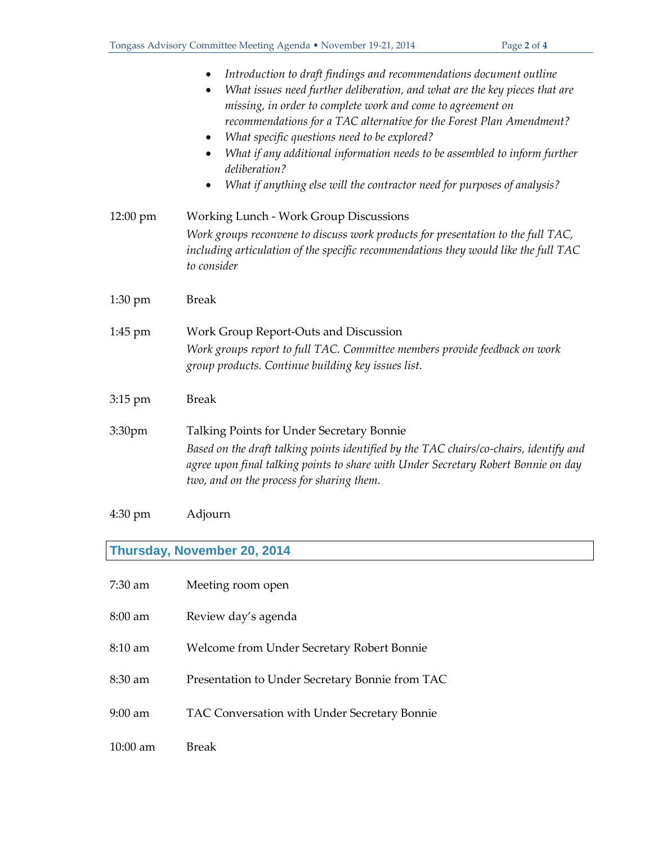|                   | Introduction to draft findings and recommendations document outline<br>What issues need further deliberation, and what are the key pieces that are<br>$\bullet$<br>missing, in order to complete work and come to agreement on<br>recommendations for a TAC alternative for the Forest Plan Amendment?<br>What specific questions need to be explored?<br>What if any additional information needs to be assembled to inform further<br>deliberation?<br>What if anything else will the contractor need for purposes of analysis? |
|-------------------|-----------------------------------------------------------------------------------------------------------------------------------------------------------------------------------------------------------------------------------------------------------------------------------------------------------------------------------------------------------------------------------------------------------------------------------------------------------------------------------------------------------------------------------|
| 12:00 pm          | Working Lunch - Work Group Discussions                                                                                                                                                                                                                                                                                                                                                                                                                                                                                            |
|                   | Work groups reconvene to discuss work products for presentation to the full TAC,<br>including articulation of the specific recommendations they would like the full TAC<br>to consider                                                                                                                                                                                                                                                                                                                                            |
| 1:30 pm           | <b>Break</b>                                                                                                                                                                                                                                                                                                                                                                                                                                                                                                                      |
| $1:45$ pm         | Work Group Report-Outs and Discussion<br>Work groups report to full TAC. Committee members provide feedback on work<br>group products. Continue building key issues list.                                                                                                                                                                                                                                                                                                                                                         |
| 3:15 pm           | <b>Break</b>                                                                                                                                                                                                                                                                                                                                                                                                                                                                                                                      |
| 3:30pm            | Talking Points for Under Secretary Bonnie<br>Based on the draft talking points identified by the TAC chairs/co-chairs, identify and<br>agree upon final talking points to share with Under Secretary Robert Bonnie on day<br>two, and on the process for sharing them.                                                                                                                                                                                                                                                            |
| $4:30 \text{ pm}$ | Adjourn                                                                                                                                                                                                                                                                                                                                                                                                                                                                                                                           |

## **Thursday, November 20, 2014**

| $7:30$ am         | Meeting room open                               |
|-------------------|-------------------------------------------------|
| $8:00$ am         | Review day's agenda                             |
| $8:10 \text{ am}$ | Welcome from Under Secretary Robert Bonnie      |
| $8:30$ am         | Presentation to Under Secretary Bonnie from TAC |
| $9:00$ am         | TAC Conversation with Under Secretary Bonnie    |
| $10:00$ am        | Break                                           |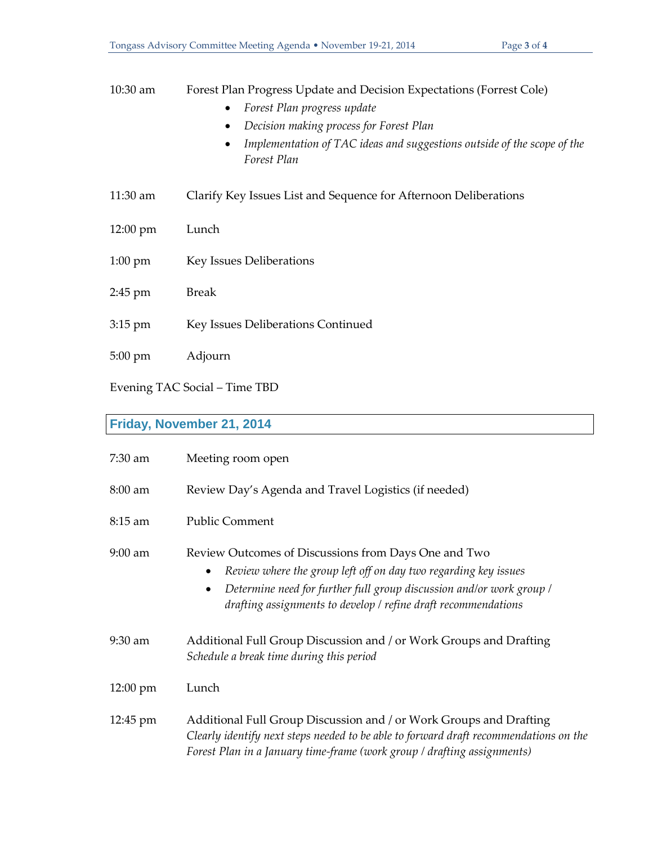#### 10:30 am Forest Plan Progress Update and Decision Expectations (Forrest Cole)

- *Forest Plan progress update*
- *Decision making process for Forest Plan*
- *Implementation of TAC ideas and suggestions outside of the scope of the Forest Plan*
- 11:30 am Clarify Key Issues List and Sequence for Afternoon Deliberations
- 12:00 pm Lunch
- 1:00 pm Key Issues Deliberations
- 2:45 pm Break
- 3:15 pm Key Issues Deliberations Continued
- 5:00 pm Adjourn

Evening TAC Social – Time TBD

### **Friday, November 21, 2014**

| $7:30$ am          | Meeting room open                                                                                                                                                                                                                                                                           |
|--------------------|---------------------------------------------------------------------------------------------------------------------------------------------------------------------------------------------------------------------------------------------------------------------------------------------|
| $8:00$ am          | Review Day's Agenda and Travel Logistics (if needed)                                                                                                                                                                                                                                        |
| $8:15$ am          | <b>Public Comment</b>                                                                                                                                                                                                                                                                       |
| $9:00$ am          | Review Outcomes of Discussions from Days One and Two<br>Review where the group left off on day two regarding key issues<br>$\bullet$<br>Determine need for further full group discussion and/or work group /<br>$\bullet$<br>drafting assignments to develop / refine draft recommendations |
| $9:30$ am          | Additional Full Group Discussion and / or Work Groups and Drafting<br>Schedule a break time during this period                                                                                                                                                                              |
| $12:00 \text{ pm}$ | Lunch                                                                                                                                                                                                                                                                                       |
| 12:45 pm           | Additional Full Group Discussion and / or Work Groups and Drafting<br>Clearly identify next steps needed to be able to forward draft recommendations on the<br>Forest Plan in a January time-frame (work group / drafting assignments)                                                      |